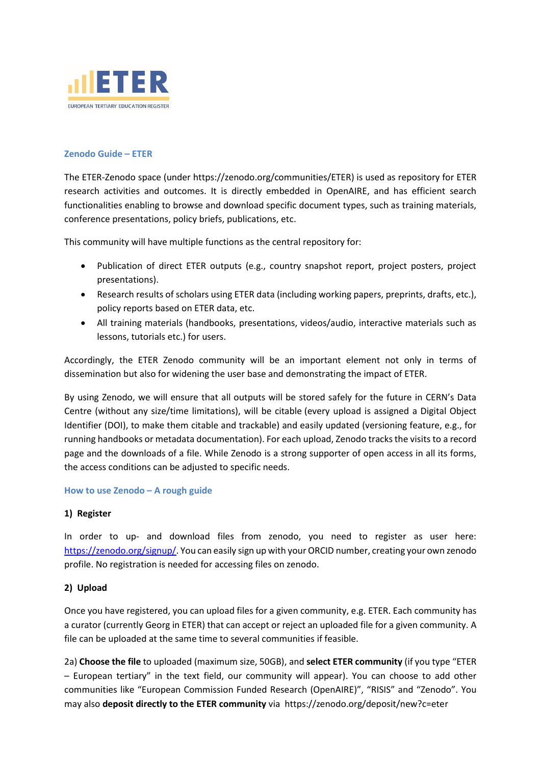

## **Zenodo Guide – ETER**

The ETER-Zenodo space (under [https://zenodo.org/communities/ETER\)](https://zenodo.org/communities/ETER) is used as repository for ETER research activities and outcomes. It is directly embedded in OpenAIRE, and has efficient search functionalities enabling to browse and download specific document types, such as training materials, conference presentations, policy briefs, publications, etc.

This community will have multiple functions as the central repository for:

- Publication of direct ETER outputs (e.g., country snapshot report, project posters, project presentations).
- Research results of scholars using ETER data (including working papers, preprints, drafts, etc.), policy reports based on ETER data, etc.
- All training materials (handbooks, presentations, videos/audio, interactive materials such as lessons, tutorials etc.) for users.

Accordingly, the ETER Zenodo community will be an important element not only in terms of dissemination but also for widening the user base and demonstrating the impact of ETER.

By using Zenodo, we will ensure that all outputs will be stored safely for the future in CERN's Data Centre (without any size/time limitations), will be citable (every upload is assigned a Digital Object Identifier (DOI), to make them citable and trackable) and easily updated (versioning feature, e.g., for running handbooks or metadata documentation). For each upload, Zenodo tracks the visits to a record page and the downloads of a file. While Zenodo is a strong supporter of open access in all its forms, the access conditions can be adjusted to specific needs.

### **How to use Zenodo – A rough guide**

### **1) Register**

In order to up- and download files from zenodo, you need to register as user here: [https://zenodo.org/signup/.](https://zenodo.org/signup/) You can easily sign up with your ORCID number, creating your own zenodo profile. No registration is needed for accessing files on zenodo.

### **2) Upload**

Once you have registered, you can upload files for a given community, e.g. ETER. Each community has a curator (currently Georg in ETER) that can accept or reject an uploaded file for a given community. A file can be uploaded at the same time to several communities if feasible.

2a) **Choose the file** to uploaded (maximum size, 50GB), and **select ETER community** (if you type "ETER – European tertiary" in the text field, our community will appear). You can choose to add other communities like "European Commission Funded Research (OpenAIRE)", "RISIS" and "Zenodo". You may also **deposit directly to the ETER community** via https://zenodo.org/deposit/new?c=eter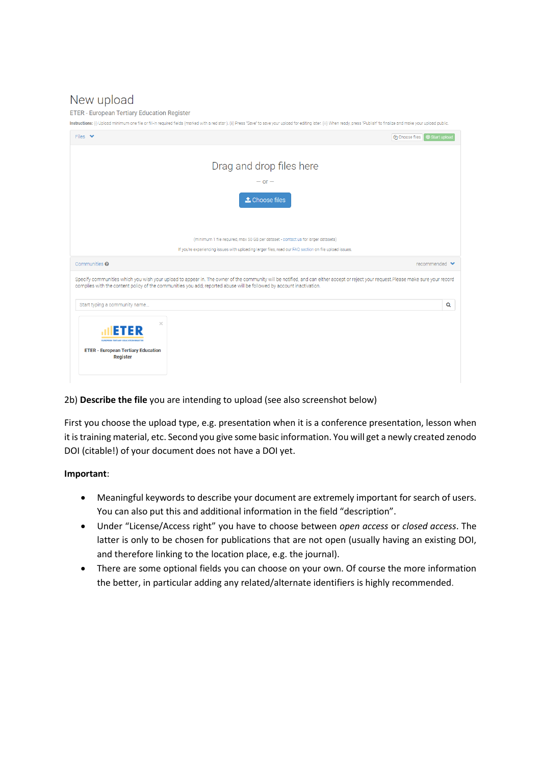# New upload

**ETER - European Tertiary Education Register** 

Instructions: (i) Upload minimum one file or fill-in required fields (marked with a red star). (ii) Press "Save" to save your upload for editing later. (iii) When ready, press "Publish" to finalize and make your upload pub

| Files $\vee$                                                                                                   | Choose files $\bigcirc$ Start upload                                                                                                                                                                                                                                                                         |                                   |
|----------------------------------------------------------------------------------------------------------------|--------------------------------------------------------------------------------------------------------------------------------------------------------------------------------------------------------------------------------------------------------------------------------------------------------------|-----------------------------------|
|                                                                                                                |                                                                                                                                                                                                                                                                                                              |                                   |
|                                                                                                                | Drag and drop files here                                                                                                                                                                                                                                                                                     |                                   |
|                                                                                                                | $-$ or $-$                                                                                                                                                                                                                                                                                                   |                                   |
|                                                                                                                | t Choose files                                                                                                                                                                                                                                                                                               |                                   |
|                                                                                                                | (minimum 1 file required, max 50 GB per dataset - contact us for larger datasets)                                                                                                                                                                                                                            |                                   |
|                                                                                                                | If you're experiencing issues with uploading larger files, read our FAQ section on file upload issues.                                                                                                                                                                                                       |                                   |
| Communities <sup>®</sup>                                                                                       |                                                                                                                                                                                                                                                                                                              | recommended $\blacktriangleright$ |
|                                                                                                                | Specify communities which you wish your upload to appear in. The owner of the community will be notified, and can either accept or reject your request.Please make sure your record<br>complies with the content policy of the communities you add; reported abuse will be followed by account inactivation. |                                   |
| Start typing a community name                                                                                  |                                                                                                                                                                                                                                                                                                              | Q                                 |
| $\times$<br>ETER<br><b>FUROPEAN TERTUARY FOLK' ATION REGISTER</b><br><b>ETER - European Tertiary Education</b> |                                                                                                                                                                                                                                                                                                              |                                   |

# 2b) **Describe the file** you are intending to upload (see also screenshot below)

First you choose the upload type, e.g. presentation when it is a conference presentation, lesson when it is training material, etc. Second you give some basic information. You will get a newly created zenodo DOI (citable!) of your document does not have a DOI yet.

### **Important**:

- Meaningful keywords to describe your document are extremely important for search of users. You can also put this and additional information in the field "description".
- Under "License/Access right" you have to choose between *open access* or *closed access*. The latter is only to be chosen for publications that are not open (usually having an existing DOI, and therefore linking to the location place, e.g. the journal).
- There are some optional fields you can choose on your own. Of course the more information the better, in particular adding any related/alternate identifiers is highly recommended.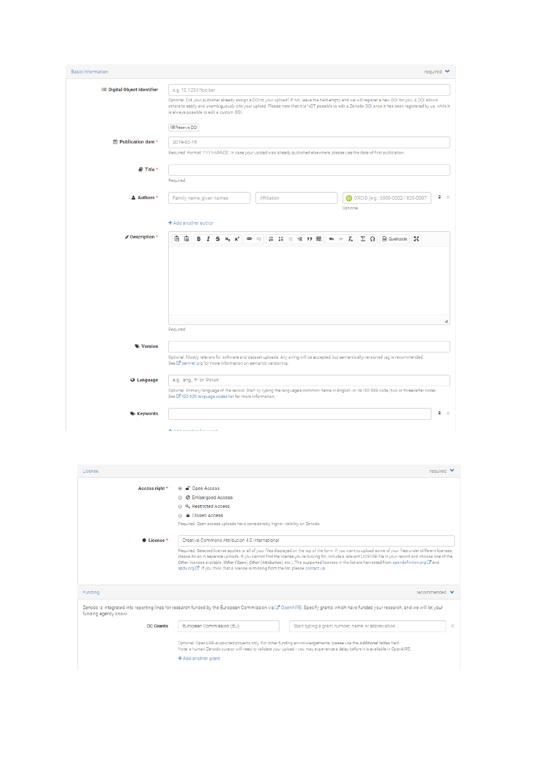| <b>Basic information</b>             | required $\blacktriangleright$                                                                                                                                                                                                                                                                                                                                                        |  |  |
|--------------------------------------|---------------------------------------------------------------------------------------------------------------------------------------------------------------------------------------------------------------------------------------------------------------------------------------------------------------------------------------------------------------------------------------|--|--|
| <b>III</b> Digital Object Identifier | e.g. 10.1234/foo.bar<br>Optional. Did your publisher already assign a DOI to your upload? If not, leave the field empty and we will register a new DOI for you. A DOI allows<br>others to easily and unambiguously cite your upload. Please note that it is NOT possible to edit a Zenodo DOI once it has been registered by us, while it<br>is always possible to edit a custom DOI. |  |  |
| m Publication date *                 | IIII Reserve DOI<br>2019-02-15<br>Required. Format: YYYY-MM-DD. In case your upload was already published elsewhere, please use the date of first publication.                                                                                                                                                                                                                        |  |  |
| ■ Title *                            |                                                                                                                                                                                                                                                                                                                                                                                       |  |  |
| & Authors *                          | Required.<br>٠<br>$\propto$<br>Affiliation<br>DORCID (e.g.: 0000-0002-1825-0097<br>Family name, given names<br>Optional.                                                                                                                                                                                                                                                              |  |  |
| Description*                         | $+$ Add another author<br>临偏<br>ににまま 99 職   ← 〃 $I_x$    ∑ Ω    @ Quellcode   <br>Şč,<br>в<br>$I$ $S$ $x$ , $x$ <sup><math>t</math></sup><br>$\bullet$                                                                                                                                                                                                                                |  |  |
|                                      | ⊿<br>Required.                                                                                                                                                                                                                                                                                                                                                                        |  |  |
| Version                              | Optional. Mostly relevant for software and dataset uploads. Any string will be accepted, but semantically-versioned tag is recommended.<br>See E'semver.org for more information on semantic versioning.                                                                                                                                                                              |  |  |
| <b>Q</b> Language                    | e.g.: 'eng', 'fr' or 'Polish'<br>Optional. Primary language of the record. Start by typing the language's common name in English, or its ISO 639 code (two or three-letter code).<br>See [2] ISO 639 language codes list for more information.                                                                                                                                        |  |  |
| <b>Keywords</b>                      | ٠<br>$\propto$<br>de Artel sociético localizació                                                                                                                                                                                                                                                                                                                                      |  |  |

| License                           | $required \times$                                                                                                                                                                                                                                                                                                                                                                                                                                                                                                                                                                    |
|-----------------------------------|--------------------------------------------------------------------------------------------------------------------------------------------------------------------------------------------------------------------------------------------------------------------------------------------------------------------------------------------------------------------------------------------------------------------------------------------------------------------------------------------------------------------------------------------------------------------------------------|
| Access right *                    | ⊕ n Open Access                                                                                                                                                                                                                                                                                                                                                                                                                                                                                                                                                                      |
|                                   | <b>Ø</b> Embargoed Access                                                                                                                                                                                                                                                                                                                                                                                                                                                                                                                                                            |
|                                   | <b>4. Restricted Access</b>                                                                                                                                                                                                                                                                                                                                                                                                                                                                                                                                                          |
|                                   | <b>A</b> Closed Access                                                                                                                                                                                                                                                                                                                                                                                                                                                                                                                                                               |
|                                   | Required. Open access uploads have considerably higher visibility on Zenodo.                                                                                                                                                                                                                                                                                                                                                                                                                                                                                                         |
| <b><i>License<sup>*</sup></i></b> | Creative Commons Attribution 4.0 International                                                                                                                                                                                                                                                                                                                                                                                                                                                                                                                                       |
|                                   | Required. Selected license applies to all of your files displayed on the top of the form. If you want to upload some of your files under different licenses.<br>please do so in separate uploads. If you cannot find the license you're looking for, include a relevant LICENSE file in your record and choose one of the<br>Other licenses available (Other (Open), Other (Attribution), etc.). The supported licenses in the list are harvested from opendefinition.org [3" and<br>spdx.org $\boxtimes$ . If you think that a license is missing from the list, please contact us. |
| Funding                           | $recommended \blacktriangleright$                                                                                                                                                                                                                                                                                                                                                                                                                                                                                                                                                    |
| funding agency know!              | Zenodo is integrated into reporting lines for research funded by the European Commission via G OpenAIRE. Specify grants which have funded your research, and we will let your                                                                                                                                                                                                                                                                                                                                                                                                        |
| <b>[6] Grants</b>                 | $\times$<br>European Commission (EU)<br>Start typing a grant number, name or abbreviation                                                                                                                                                                                                                                                                                                                                                                                                                                                                                            |
|                                   | Optional, OpenAIRE-supported projects only. For other funding acknowledgements, please use the Additional Notes field.<br>Note: a human Zenodo curator will need to validate your upload - you may experience a delay before it is available in OpenAIRE.<br>+ Add another grant                                                                                                                                                                                                                                                                                                     |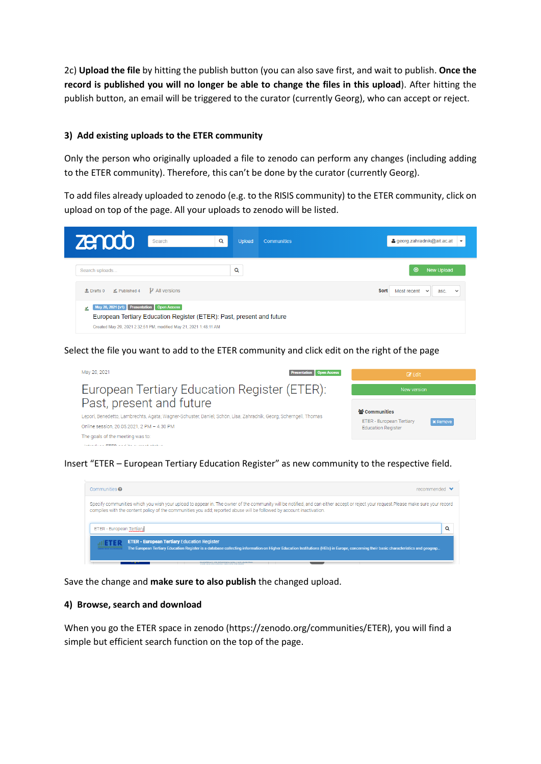2c) **Upload the file** by hitting the publish button (you can also save first, and wait to publish. **Once the record is published you will no longer be able to change the files in this upload**). After hitting the publish button, an email will be triggered to the curator (currently Georg), who can accept or reject.

# **3) Add existing uploads to the ETER community**

Only the person who originally uploaded a file to zenodo can perform any changes (including adding to the ETER community). Therefore, this can't be done by the curator (currently Georg).

To add files already uploaded to zenodo (e.g. to the RISIS community) to the ETER community, click on upload on top of the page. All your uploads to zenodo will be listed.

| <b>zenodo</b><br>Search                                                                                           | Q<br><b>Upload</b><br><b>Communities</b>                              | 4 georg.zahradnik@ait.ac.at                        |
|-------------------------------------------------------------------------------------------------------------------|-----------------------------------------------------------------------|----------------------------------------------------|
| Search uploads                                                                                                    | Q                                                                     | $\odot$<br><b>New Upload</b>                       |
| $\mathcal V$ All versions<br>$\triangle$ Drafts 0 $\angle$ Published 4                                            |                                                                       | Sort<br>Most recent $\sim$<br>asc.<br>$\checkmark$ |
| May 20, 2021 (v1) Presentation   Open Access<br>Created May 20, 2021 2:32:51 PM, modified May 21, 2021 1:48:11 AM | European Tertiary Education Register (ETER): Past, present and future |                                                    |

Select the file you want to add to the ETER community and click edit on the right of the page



Insert "ETER – European Tertiary Education Register" as new community to the respective field.

| Communities <sup>®</sup>                                                                                                                                                                                                                                                                                     | $recommended \rightarrow$ |
|--------------------------------------------------------------------------------------------------------------------------------------------------------------------------------------------------------------------------------------------------------------------------------------------------------------|---------------------------|
| Specify communities which you wish your upload to appear in. The owner of the community will be notified, and can either accept or reject your request.Please make sure your record<br>complies with the content policy of the communities you add; reported abuse will be followed by account inactivation. |                           |
| ETER - European Tertiary                                                                                                                                                                                                                                                                                     | Q                         |
| <b>ETER - European Tertiary Education Register</b><br>The European Tertiary Education Register is a database collecting information on Higher Education Institutions (HEIs) in Europe, concerning their basic characteristics and geograp                                                                    |                           |

Save the change and **make sure to also publish** the changed upload.

# **4) Browse, search and download**

When you go the ETER space in zenodo (https://zenodo.org/communities/ETER), you will find a simple but efficient search function on the top of the page.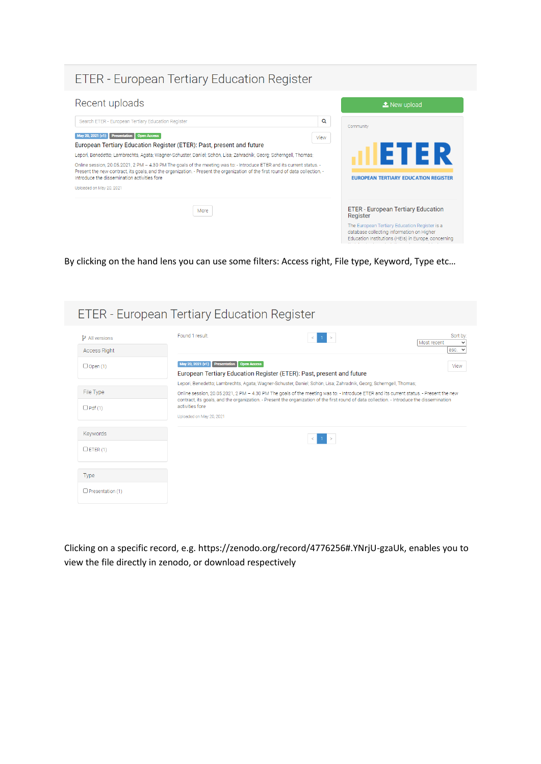# ETER - European Tertiary Education Register



By clicking on the hand lens you can use some filters: Access right, File type, Keyword, Type etc…

| <b>ETER - European Tertiary Education Register</b> |                                             |                                                                                                                                                                                                                                                             |                                 |
|----------------------------------------------------|---------------------------------------------|-------------------------------------------------------------------------------------------------------------------------------------------------------------------------------------------------------------------------------------------------------------|---------------------------------|
| $\mathcal V$ All versions<br><b>Access Right</b>   | Found 1 result                              | $\,$                                                                                                                                                                                                                                                        | Sort by:<br>Most recent<br>asc. |
| $\Box$ Open (1)                                    | May 20, 2021 (v1) Presentation Open Access  | European Tertiary Education Register (ETER): Past, present and future                                                                                                                                                                                       | View                            |
| File Type                                          |                                             | Lepori, Benedetto; Lambrechts, Agata; Wagner-Schuster, Daniel; Schön, Lisa; Zahradnik, Georg; Scherngell, Thomas;<br>Online session, 20.05.2021, 2 PM - 4.30 PM The goals of the meeting was to: - Introduce ETER and its current status. - Present the new |                                 |
| $\Box$ Pdf (1)                                     | activities fore<br>Uploaded on May 20, 2021 | contract, its goals, and the organization. - Present the organization of the first round of data collection. - Introduce the dissemination                                                                                                                  |                                 |
| Keywords                                           |                                             | $\leq$ 1 $>$                                                                                                                                                                                                                                                |                                 |
| $C$ ETER (1)                                       |                                             |                                                                                                                                                                                                                                                             |                                 |
| <b>Type</b>                                        |                                             |                                                                                                                                                                                                                                                             |                                 |
| $\Box$ Presentation (1)                            |                                             |                                                                                                                                                                                                                                                             |                                 |

Clicking on a specific record, e.g. https://zenodo.org/record/4776256#.YNrjU-gzaUk, enables you to view the file directly in zenodo, or download respectively